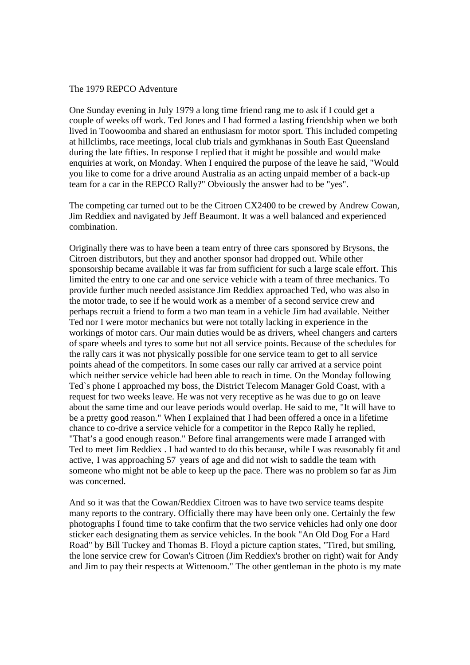## The 1979 REPCO Adventure

One Sunday evening in July 1979 a long time friend rang me to ask if I could get a couple of weeks off work. Ted Jones and I had formed a lasting friendship when we both lived in Toowoomba and shared an enthusiasm for motor sport. This included competing at hillclimbs, race meetings, local club trials and gymkhanas in South East Queensland during the late fifties. In response I replied that it might be possible and would make enquiries at work, on Monday. When I enquired the purpose of the leave he said, "Would you like to come for a drive around Australia as an acting unpaid member of a back-up team for a car in the REPCO Rally?" Obviously the answer had to be "yes".

The competing car turned out to be the Citroen CX2400 to be crewed by Andrew Cowan, Jim Reddiex and navigated by Jeff Beaumont. It was a well balanced and experienced combination.

Originally there was to have been a team entry of three cars sponsored by Brysons, the Citroen distributors, but they and another sponsor had dropped out. While other sponsorship became available it was far from sufficient for such a large scale effort. This limited the entry to one car and one service vehicle with a team of three mechanics. To provide further much needed assistance Jim Reddiex approached Ted, who was also in the motor trade, to see if he would work as a member of a second service crew and perhaps recruit a friend to form a two man team in a vehicle Jim had available. Neither Ted nor I were motor mechanics but were not totally lacking in experience in the workings of motor cars. Our main duties would be as drivers, wheel changers and carters of spare wheels and tyres to some but not all service points. Because of the schedules for the rally cars it was not physically possible for one service team to get to all service points ahead of the competitors. In some cases our rally car arrived at a service point which neither service vehicle had been able to reach in time. On the Monday following Ted`s phone I approached my boss, the District Telecom Manager Gold Coast, with a request for two weeks leave. He was not very receptive as he was due to go on leave about the same time and our leave periods would overlap. He said to me, "It will have to be a pretty good reason." When I explained that I had been offered a once in a lifetime chance to co-drive a service vehicle for a competitor in the Repco Rally he replied, "That's a good enough reason." Before final arrangements were made I arranged with Ted to meet Jim Reddiex . I had wanted to do this because, while I was reasonably fit and active, I was approaching 57 years of age and did not wish to saddle the team with someone who might not be able to keep up the pace. There was no problem so far as Jim was concerned.

And so it was that the Cowan/Reddiex Citroen was to have two service teams despite many reports to the contrary. Officially there may have been only one. Certainly the few photographs I found time to take confirm that the two service vehicles had only one door sticker each designating them as service vehicles. In the book "An Old Dog For a Hard Road" by Bill Tuckey and Thomas B. Floyd a picture caption states, "Tired, but smiling, the lone service crew for Cowan's Citroen (Jim Reddiex's brother on right) wait for Andy and Jim to pay their respects at Wittenoom." The other gentleman in the photo is my mate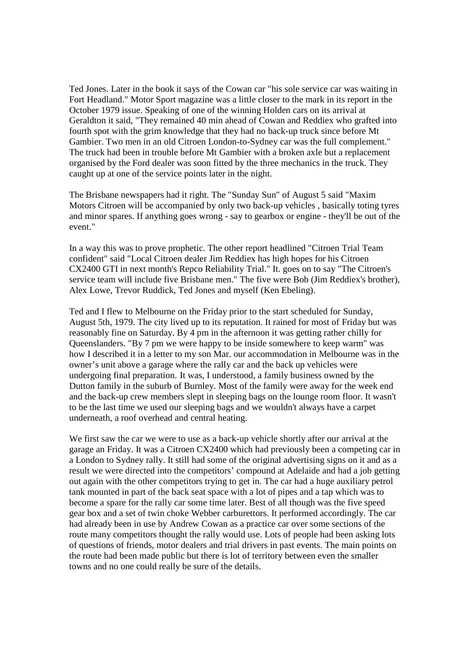Ted Jones. Later in the book it says of the Cowan car "his sole service car was waiting in Fort Headland." Motor Sport magazine was a little closer to the mark in its report in the October 1979 issue. Speaking of one of the winning Holden cars on its arrival at Geraldton it said, "They remained 40 min ahead of Cowan and Reddiex who grafted into fourth spot with the grim knowledge that they had no back-up truck since before Mt Gambier. Two men in an old Citroen London-to-Sydney car was the full complement." The truck had been in trouble before Mt Gambier with a broken axle but a replacement organised by the Ford dealer was soon fitted by the three mechanics in the truck. They caught up at one of the service points later in the night.

The Brisbane newspapers had it right. The "Sunday Sun" of August 5 said "Maxim Motors Citroen will be accompanied by only two back-up vehicles , basically toting tyres and minor spares. If anything goes wrong - say to gearbox or engine - they'll be out of the event."

In a way this was to prove prophetic. The other report headlined "Citroen Trial Team confident" said "Local Citroen dealer Jim Reddiex has high hopes for his Citroen CX2400 GTI in next month's Repco Reliability Trial." It. goes on to say "The Citroen's service team will include five Brisbane men." The five were Bob (Jim Reddiex's brother), Alex Lowe, Trevor Ruddick, Ted Jones and myself (Ken Ebeling).

Ted and I flew to Melbourne on the Friday prior to the start scheduled for Sunday, August 5th, 1979. The city lived up to its reputation. It rained for most of Friday but was reasonably fine on Saturday. By 4 pm in the afternoon it was getting rather chilly for Queenslanders. "By 7 pm we were happy to be inside somewhere to keep warm" was how I described it in a letter to my son Mar. our accommodation in Melbourne was in the owner's unit above a garage where the rally car and the back up vehicles were undergoing final preparation. It was, I understood, a family business owned by the Dutton family in the suburb of Burnley. Most of the family were away for the week end and the back-up crew members slept in sleeping bags on the lounge room floor. It wasn't to be the last time we used our sleeping bags and we wouldn't always have a carpet underneath, a roof overhead and central heating.

We first saw the car we were to use as a back-up vehicle shortly after our arrival at the garage an Friday. It was a Citroen CX2400 which had previously been a competing car in a London to Sydney rally. It still had some of the original advertising signs on it and as a result we were directed into the competitors' compound at Adelaide and had a job getting out again with the other competitors trying to get in. The car had a huge auxiliary petrol tank mounted in part of the back seat space with a lot of pipes and a tap which was to become a spare for the rally car some time later. Best of all though was the five speed gear box and a set of twin choke Webber carburettors. It performed accordingly. The car had already been in use by Andrew Cowan as a practice car over some sections of the route many competitors thought the rally would use. Lots of people had been asking lots of questions of friends, motor dealers and trial drivers in past events. The main points on the route had been made public but there is lot of territory between even the smaller towns and no one could really be sure of the details.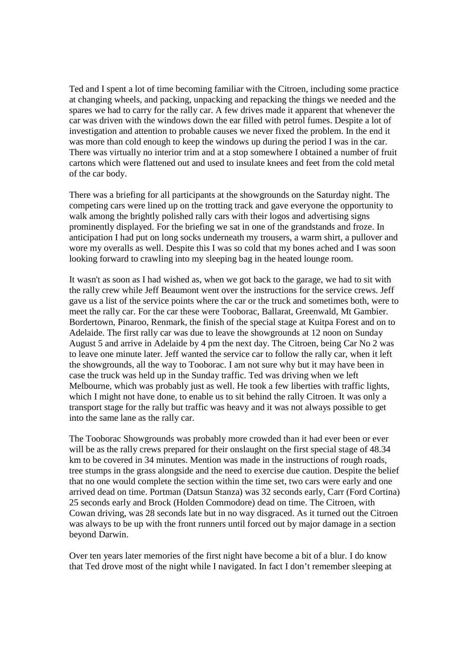Ted and I spent a lot of time becoming familiar with the Citroen, including some practice at changing wheels, and packing, unpacking and repacking the things we needed and the spares we had to carry for the rally car. A few drives made it apparent that whenever the car was driven with the windows down the ear filled with petrol fumes. Despite a lot of investigation and attention to probable causes we never fixed the problem. In the end it was more than cold enough to keep the windows up during the period I was in the car. There was virtually no interior trim and at a stop somewhere I obtained a number of fruit cartons which were flattened out and used to insulate knees and feet from the cold metal of the car body.

There was a briefing for all participants at the showgrounds on the Saturday night. The competing cars were lined up on the trotting track and gave everyone the opportunity to walk among the brightly polished rally cars with their logos and advertising signs prominently displayed. For the briefing we sat in one of the grandstands and froze. In anticipation I had put on long socks underneath my trousers, a warm shirt, a pullover and wore my overalls as well. Despite this I was so cold that my bones ached and I was soon looking forward to crawling into my sleeping bag in the heated lounge room.

It wasn't as soon as I had wished as, when we got back to the garage, we had to sit with the rally crew while Jeff Beaumont went over the instructions for the service crews. Jeff gave us a list of the service points where the car or the truck and sometimes both, were to meet the rally car. For the car these were Tooborac, Ballarat, Greenwald, Mt Gambier. Bordertown, Pinaroo, Renmark, the finish of the special stage at Kuitpa Forest and on to Adelaide. The first rally car was due to leave the showgrounds at 12 noon on Sunday August 5 and arrive in Adelaide by 4 pm the next day. The Citroen, being Car No 2 was to leave one minute later. Jeff wanted the service car to follow the rally car, when it left the showgrounds, all the way to Tooborac. I am not sure why but it may have been in case the truck was held up in the Sunday traffic. Ted was driving when we left Melbourne, which was probably just as well. He took a few liberties with traffic lights, which I might not have done, to enable us to sit behind the rally Citroen. It was only a transport stage for the rally but traffic was heavy and it was not always possible to get into the same lane as the rally car.

The Tooborac Showgrounds was probably more crowded than it had ever been or ever will be as the rally crews prepared for their onslaught on the first special stage of 48.34 km to be covered in 34 minutes. Mention was made in the instructions of rough roads, tree stumps in the grass alongside and the need to exercise due caution. Despite the belief that no one would complete the section within the time set, two cars were early and one arrived dead on time. Portman (Datsun Stanza) was 32 seconds early, Carr (Ford Cortina) 25 seconds early and Brock (Holden Commodore) dead on time. The Citroen, with Cowan driving, was 28 seconds late but in no way disgraced. As it turned out the Citroen was always to be up with the front runners until forced out by major damage in a section beyond Darwin.

Over ten years later memories of the first night have become a bit of a blur. I do know that Ted drove most of the night while I navigated. In fact I don't remember sleeping at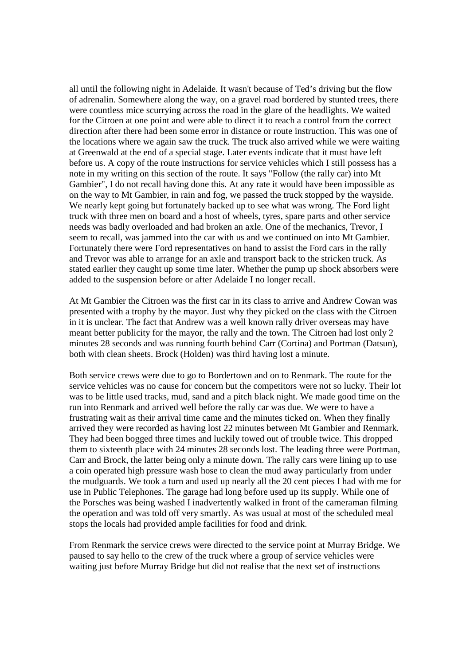all until the following night in Adelaide. It wasn't because of Ted's driving but the flow of adrenalin. Somewhere along the way, on a gravel road bordered by stunted trees, there were countless mice scurrying across the road in the glare of the headlights. We waited for the Citroen at one point and were able to direct it to reach a control from the correct direction after there had been some error in distance or route instruction. This was one of the locations where we again saw the truck. The truck also arrived while we were waiting at Greenwald at the end of a special stage. Later events indicate that it must have left before us. A copy of the route instructions for service vehicles which I still possess has a note in my writing on this section of the route. It says "Follow (the rally car) into Mt Gambier", I do not recall having done this. At any rate it would have been impossible as on the way to Mt Gambier, in rain and fog, we passed the truck stopped by the wayside. We nearly kept going but fortunately backed up to see what was wrong. The Ford light truck with three men on board and a host of wheels, tyres, spare parts and other service needs was badly overloaded and had broken an axle. One of the mechanics, Trevor, I seem to recall, was jammed into the car with us and we continued on into Mt Gambier. Fortunately there were Ford representatives on hand to assist the Ford cars in the rally and Trevor was able to arrange for an axle and transport back to the stricken truck. As stated earlier they caught up some time later. Whether the pump up shock absorbers were added to the suspension before or after Adelaide I no longer recall.

At Mt Gambier the Citroen was the first car in its class to arrive and Andrew Cowan was presented with a trophy by the mayor. Just why they picked on the class with the Citroen in it is unclear. The fact that Andrew was a well known rally driver overseas may have meant better publicity for the mayor, the rally and the town. The Citroen had lost only 2 minutes 28 seconds and was running fourth behind Carr (Cortina) and Portman (Datsun), both with clean sheets. Brock (Holden) was third having lost a minute.

Both service crews were due to go to Bordertown and on to Renmark. The route for the service vehicles was no cause for concern but the competitors were not so lucky. Their lot was to be little used tracks, mud, sand and a pitch black night. We made good time on the run into Renmark and arrived well before the rally car was due. We were to have a frustrating wait as their arrival time came and the minutes ticked on. When they finally arrived they were recorded as having lost 22 minutes between Mt Gambier and Renmark. They had been bogged three times and luckily towed out of trouble twice. This dropped them to sixteenth place with 24 minutes 28 seconds lost. The leading three were Portman, Carr and Brock, the latter being only a minute down. The rally cars were lining up to use a coin operated high pressure wash hose to clean the mud away particularly from under the mudguards. We took a turn and used up nearly all the 20 cent pieces I had with me for use in Public Telephones. The garage had long before used up its supply. While one of the Porsches was being washed I inadvertently walked in front of the cameraman filming the operation and was told off very smartly. As was usual at most of the scheduled meal stops the locals had provided ample facilities for food and drink.

From Renmark the service crews were directed to the service point at Murray Bridge. We paused to say hello to the crew of the truck where a group of service vehicles were waiting just before Murray Bridge but did not realise that the next set of instructions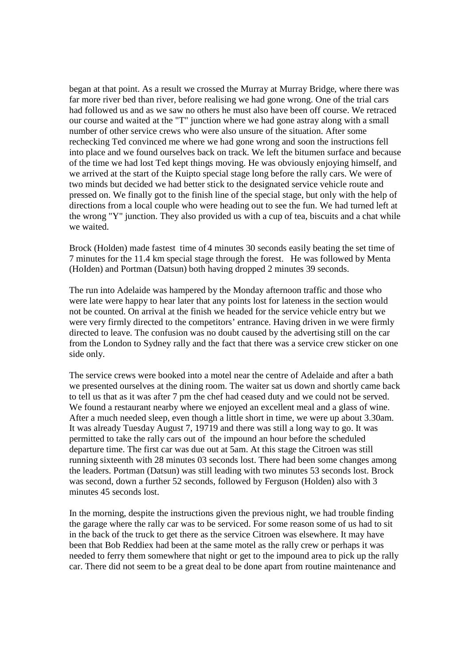began at that point. As a result we crossed the Murray at Murray Bridge, where there was far more river bed than river, before realising we had gone wrong. One of the trial cars had followed us and as we saw no others he must also have been off course. We retraced our course and waited at the "T" junction where we had gone astray along with a small number of other service crews who were also unsure of the situation. After some rechecking Ted convinced me where we had gone wrong and soon the instructions fell into place and we found ourselves back on track. We left the bitumen surface and because of the time we had lost Ted kept things moving. He was obviously enjoying himself, and we arrived at the start of the Kuipto special stage long before the rally cars. We were of two minds but decided we had better stick to the designated service vehicle route and pressed on. We finally got to the finish line of the special stage, but only with the help of directions from a local couple who were heading out to see the fun. We had turned left at the wrong "Y" junction. They also provided us with a cup of tea, biscuits and a chat while we waited.

Brock (Holden) made fastest time of 4 minutes 30 seconds easily beating the set time of 7 minutes for the 11.4 km special stage through the forest. He was followed by Menta (HoIden) and Portman (Datsun) both having dropped 2 minutes 39 seconds.

The run into Adelaide was hampered by the Monday afternoon traffic and those who were late were happy to hear later that any points lost for lateness in the section would not be counted. On arrival at the finish we headed for the service vehicle entry but we were very firmly directed to the competitors' entrance. Having driven in we were firmly directed to leave. The confusion was no doubt caused by the advertising still on the car from the London to Sydney rally and the fact that there was a service crew sticker on one side only.

The service crews were booked into a motel near the centre of Adelaide and after a bath we presented ourselves at the dining room. The waiter sat us down and shortly came back to tell us that as it was after 7 pm the chef had ceased duty and we could not be served. We found a restaurant nearby where we enjoyed an excellent meal and a glass of wine. After a much needed sleep, even though a little short in time, we were up about 3.30am. It was already Tuesday August 7, 19719 and there was still a long way to go. It was permitted to take the rally cars out of the impound an hour before the scheduled departure time. The first car was due out at 5am. At this stage the Citroen was still running sixteenth with 28 minutes 03 seconds lost. There had been some changes among the leaders. Portman (Datsun) was still leading with two minutes 53 seconds lost. Brock was second, down a further 52 seconds, followed by Ferguson (Holden) also with 3 minutes 45 seconds lost.

In the morning, despite the instructions given the previous night, we had trouble finding the garage where the rally car was to be serviced. For some reason some of us had to sit in the back of the truck to get there as the service Citroen was elsewhere. It may have been that Bob Reddiex had been at the same motel as the rally crew or perhaps it was needed to ferry them somewhere that night or get to the impound area to pick up the rally car. There did not seem to be a great deal to be done apart from routine maintenance and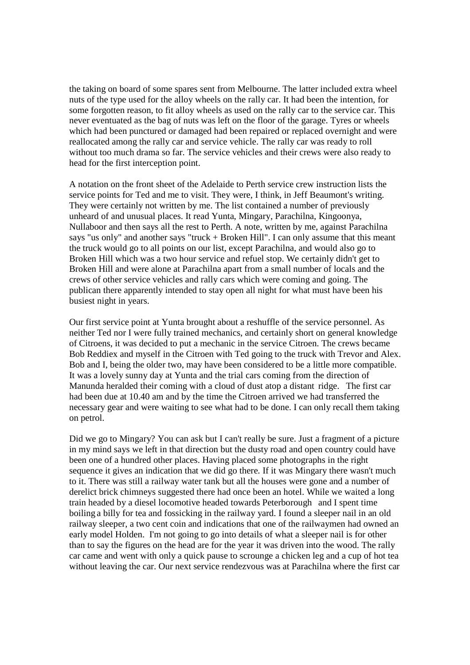the taking on board of some spares sent from Melbourne. The latter included extra wheel nuts of the type used for the alloy wheels on the rally car. It had been the intention, for some forgotten reason, to fit alloy wheels as used on the rally car to the service car. This never eventuated as the bag of nuts was left on the floor of the garage. Tyres or wheels which had been punctured or damaged had been repaired or replaced overnight and were reallocated among the rally car and service vehicle. The rally car was ready to roll without too much drama so far. The service vehicles and their crews were also ready to head for the first interception point.

A notation on the front sheet of the Adelaide to Perth service crew instruction lists the service points for Ted and me to visit. They were, I think, in Jeff Beaumont's writing. They were certainly not written by me. The list contained a number of previously unheard of and unusual places. It read Yunta, Mingary, Parachilna, Kingoonya, Nullaboor and then says all the rest to Perth. A note, written by me, against Parachilna says "us only" and another says "truck + Broken Hill". I can only assume that this meant the truck would go to all points on our list, except Parachilna, and would also go to Broken Hill which was a two hour service and refuel stop. We certainly didn't get to Broken Hill and were alone at Parachilna apart from a small number of locals and the crews of other service vehicles and rally cars which were coming and going. The publican there apparently intended to stay open all night for what must have been his busiest night in years.

Our first service point at Yunta brought about a reshuffle of the service personnel. As neither Ted nor I were fully trained mechanics, and certainly short on general knowledge of Citroens, it was decided to put a mechanic in the service Citroen. The crews became Bob Reddiex and myself in the Citroen with Ted going to the truck with Trevor and Alex. Bob and I, being the older two, may have been considered to be a little more compatible. It was a lovely sunny day at Yunta and the trial cars coming from the direction of Manunda heralded their coming with a cloud of dust atop a distant ridge. The first car had been due at 10.40 am and by the time the Citroen arrived we had transferred the necessary gear and were waiting to see what had to be done. I can only recall them taking on petrol.

Did we go to Mingary? You can ask but I can't really be sure. Just a fragment of a picture in my mind says we left in that direction but the dusty road and open country could have been one of a hundred other places. Having placed some photographs in the right sequence it gives an indication that we did go there. If it was Mingary there wasn't much to it. There was still a railway water tank but all the houses were gone and a number of derelict brick chimneys suggested there had once been an hotel. While we waited a long train headed by a diesel locomotive headed towards Peterborough and I spent time boiling a billy for tea and fossicking in the railway yard. I found a sleeper nail in an old railway sleeper, a two cent coin and indications that one of the railwaymen had owned an early model Holden. I'm not going to go into details of what a sleeper nail is for other than to say the figures on the head are for the year it was driven into the wood. The rally car came and went with only a quick pause to scrounge a chicken leg and a cup of hot tea without leaving the car. Our next service rendezvous was at Parachilna where the first car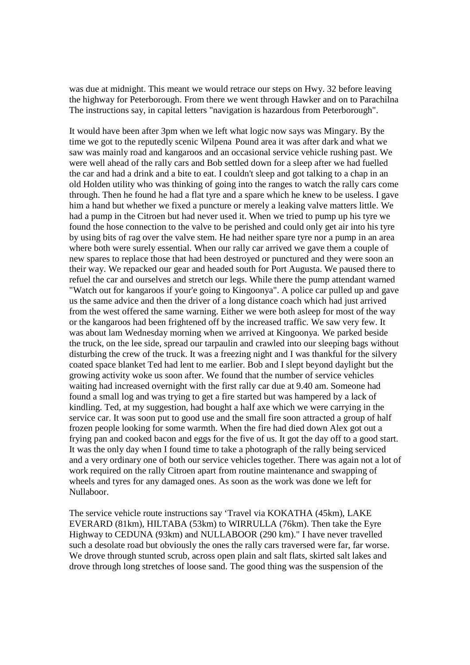was due at midnight. This meant we would retrace our steps on Hwy. 32 before leaving the highway for Peterborough. From there we went through Hawker and on to Parachilna The instructions say, in capital letters "navigation is hazardous from Peterborough".

It would have been after 3pm when we left what logic now says was Mingary. By the time we got to the reputedly scenic Wilpena Pound area it was after dark and what we saw was mainly road and kangaroos and an occasional service vehicle rushing past. We were well ahead of the rally cars and Bob settled down for a sleep after we had fuelled the car and had a drink and a bite to eat. I couldn't sleep and got talking to a chap in an old Holden utility who was thinking of going into the ranges to watch the rally cars come through. Then he found he had a flat tyre and a spare which he knew to be useless. I gave him a hand but whether we fixed a puncture or merely a leaking valve matters little. We had a pump in the Citroen but had never used it. When we tried to pump up his tyre we found the hose connection to the valve to be perished and could only get air into his tyre by using bits of rag over the valve stem. He had neither spare tyre nor a pump in an area where both were surely essential. When our rally car arrived we gave them a couple of new spares to replace those that had been destroyed or punctured and they were soon an their way. We repacked our gear and headed south for Port Augusta. We paused there to refuel the car and ourselves and stretch our legs. While there the pump attendant warned "Watch out for kangaroos if your'e going to Kingoonya". A police car pulled up and gave us the same advice and then the driver of a long distance coach which had just arrived from the west offered the same warning. Either we were both asleep for most of the way or the kangaroos had been frightened off by the increased traffic. We saw very few. It was about lam Wednesday morning when we arrived at Kingoonya. We parked beside the truck, on the lee side, spread our tarpaulin and crawled into our sleeping bags without disturbing the crew of the truck. It was a freezing night and I was thankful for the silvery coated space blanket Ted had lent to me earlier. Bob and I slept beyond daylight but the growing activity woke us soon after. We found that the number of service vehicles waiting had increased overnight with the first rally car due at 9.40 am. Someone had found a small log and was trying to get a fire started but was hampered by a lack of kindling. Ted, at my suggestion, had bought a half axe which we were carrying in the service car. It was soon put to good use and the small fire soon attracted a group of half frozen people looking for some warmth. When the fire had died down Alex got out a frying pan and cooked bacon and eggs for the five of us. It got the day off to a good start. It was the only day when I found time to take a photograph of the rally being serviced and a very ordinary one of both our service vehicles together. There was again not a lot of work required on the rally Citroen apart from routine maintenance and swapping of wheels and tyres for any damaged ones. As soon as the work was done we left for Nullaboor.

The service vehicle route instructions say 'Travel via KOKATHA (45km), LAKE EVERARD (81km), HILTABA (53km) to WIRRULLA (76km). Then take the Eyre Highway to CEDUNA (93km) and NULLABOOR (290 km)." I have never travelled such a desolate road but obviously the ones the rally cars traversed were far, far worse. We drove through stunted scrub, across open plain and salt flats, skirted salt lakes and drove through long stretches of loose sand. The good thing was the suspension of the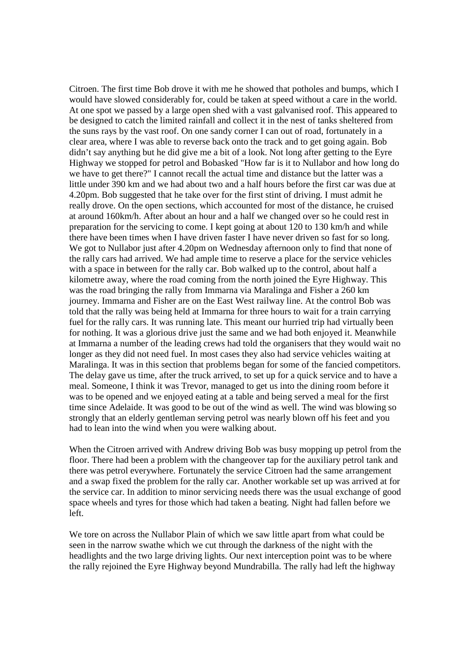Citroen. The first time Bob drove it with me he showed that potholes and bumps, which I would have slowed considerably for, could be taken at speed without a care in the world. At one spot we passed by a large open shed with a vast galvanised roof. This appeared to be designed to catch the limited rainfall and collect it in the nest of tanks sheltered from the suns rays by the vast roof. On one sandy corner I can out of road, fortunately in a clear area, where I was able to reverse back onto the track and to get going again. Bob didn't say anything but he did give me a bit of a look. Not long after getting to the Eyre Highway we stopped for petrol and Bobasked "How far is it to Nullabor and how long do we have to get there?" I cannot recall the actual time and distance but the latter was a little under 390 km and we had about two and a half hours before the first car was due at 4.20pm. Bob suggested that he take over for the first stint of driving. I must admit he really drove. On the open sections, which accounted for most of the distance, he cruised at around 160km/h. After about an hour and a half we changed over so he could rest in preparation for the servicing to come. I kept going at about 120 to 130 km/h and while there have been times when I have driven faster I have never driven so fast for so long. We got to Nullabor just after 4.20pm on Wednesday afternoon only to find that none of the rally cars had arrived. We had ample time to reserve a place for the service vehicles with a space in between for the rally car. Bob walked up to the control, about half a kilometre away, where the road coming from the north joined the Eyre Highway. This was the road bringing the rally from Immarna via Maralinga and Fisher a 260 km journey. Immarna and Fisher are on the East West railway line. At the control Bob was told that the rally was being held at Immarna for three hours to wait for a train carrying fuel for the rally cars. It was running late. This meant our hurried trip had virtually been for nothing. It was a glorious drive just the same and we had both enjoyed it. Meanwhile at Immarna a number of the leading crews had told the organisers that they would wait no longer as they did not need fuel. In most cases they also had service vehicles waiting at Maralinga. It was in this section that problems began for some of the fancied competitors. The delay gave us time, after the truck arrived, to set up for a quick service and to have a meal. Someone, I think it was Trevor, managed to get us into the dining room before it was to be opened and we enjoyed eating at a table and being served a meal for the first time since Adelaide. It was good to be out of the wind as well. The wind was blowing so strongly that an elderly gentleman serving petrol was nearly blown off his feet and you had to lean into the wind when you were walking about.

When the Citroen arrived with Andrew driving Bob was busy mopping up petrol from the floor. There had been a problem with the changeover tap for the auxiliary petrol tank and there was petrol everywhere. Fortunately the service Citroen had the same arrangement and a swap fixed the problem for the rally car. Another workable set up was arrived at for the service car. In addition to minor servicing needs there was the usual exchange of good space wheels and tyres for those which had taken a beating. Night had fallen before we left.

We tore on across the Nullabor Plain of which we saw little apart from what could be seen in the narrow swathe which we cut through the darkness of the night with the headlights and the two large driving lights. Our next interception point was to be where the rally rejoined the Eyre Highway beyond Mundrabilla. The rally had left the highway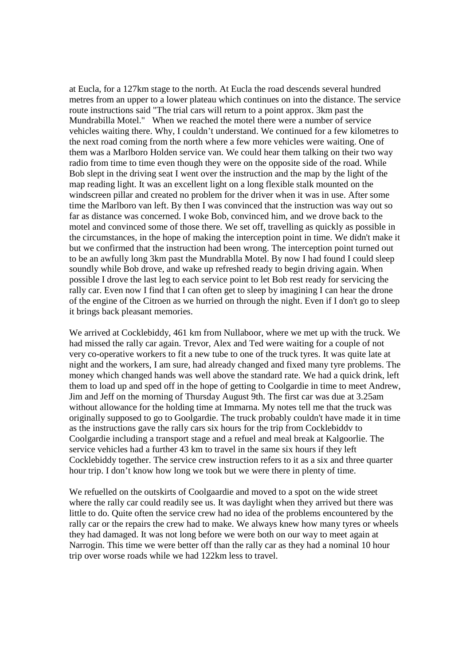at Eucla, for a 127km stage to the north. At Eucla the road descends several hundred metres from an upper to a lower plateau which continues on into the distance. The service route instructions said "The trial cars will return to a point approx. 3km past the Mundrabilla Motel." When we reached the motel there were a number of service vehicles waiting there. Why, I couldn't understand. We continued for a few kilometres to the next road coming from the north where a few more vehicles were waiting. One of them was a Marlboro Holden service van. We could hear them talking on their two way radio from time to time even though they were on the opposite side of the road. While Bob slept in the driving seat I went over the instruction and the map by the light of the map reading light. It was an excellent light on a long flexible stalk mounted on the windscreen pillar and created no problem for the driver when it was in use. After some time the Marlboro van left. By then I was convinced that the instruction was way out so far as distance was concerned. I woke Bob, convinced him, and we drove back to the motel and convinced some of those there. We set off, travelling as quickly as possible in the circumstances, in the hope of making the interception point in time. We didn't make it but we confirmed that the instruction had been wrong. The interception point turned out to be an awfully long 3km past the Mundrablla Motel. By now I had found I could sleep soundly while Bob drove, and wake up refreshed ready to begin driving again. When possible I drove the last leg to each service point to let Bob rest ready for servicing the rally car. Even now I find that I can often get to sleep by imagining I can hear the drone of the engine of the Citroen as we hurried on through the night. Even if I don't go to sleep it brings back pleasant memories.

We arrived at Cocklebiddy, 461 km from Nullaboor, where we met up with the truck. We had missed the rally car again. Trevor, Alex and Ted were waiting for a couple of not very co-operative workers to fit a new tube to one of the truck tyres. It was quite late at night and the workers, I am sure, had already changed and fixed many tyre problems. The money which changed hands was well above the standard rate. We had a quick drink, left them to load up and sped off in the hope of getting to Coolgardie in time to meet Andrew, Jim and Jeff on the morning of Thursday August 9th. The first car was due at 3.25am without allowance for the holding time at Immarna. My notes tell me that the truck was originally supposed to go to Goolgardie. The truck probably couldn't have made it in time as the instructions gave the rally cars six hours for the trip from Cocklebiddv to Coolgardie including a transport stage and a refuel and meal break at Kalgoorlie. The service vehicles had a further 43 km to travel in the same six hours if they left Cocklebiddy together. The service crew instruction refers to it as a six and three quarter hour trip. I don't know how long we took but we were there in plenty of time.

We refuelled on the outskirts of Coolgaardie and moved to a spot on the wide street where the rally car could readily see us. It was daylight when they arrived but there was little to do. Quite often the service crew had no idea of the problems encountered by the rally car or the repairs the crew had to make. We always knew how many tyres or wheels they had damaged. It was not long before we were both on our way to meet again at Narrogin. This time we were better off than the rally car as they had a nominal 10 hour trip over worse roads while we had 122km less to travel.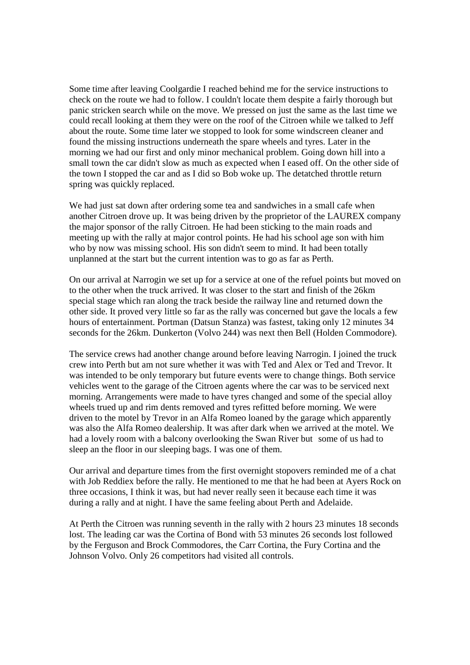Some time after leaving Coolgardie I reached behind me for the service instructions to check on the route we had to follow. I couldn't locate them despite a fairly thorough but panic stricken search while on the move. We pressed on just the same as the last time we could recall looking at them they were on the roof of the Citroen while we talked to Jeff about the route. Some time later we stopped to look for some windscreen cleaner and found the missing instructions underneath the spare wheels and tyres. Later in the morning we had our first and only minor mechanical problem. Going down hill into a small town the car didn't slow as much as expected when I eased off. On the other side of the town I stopped the car and as I did so Bob woke up. The detatched throttle return spring was quickly replaced.

We had just sat down after ordering some tea and sandwiches in a small cafe when another Citroen drove up. It was being driven by the proprietor of the LAUREX company the major sponsor of the rally Citroen. He had been sticking to the main roads and meeting up with the rally at major control points. He had his school age son with him who by now was missing school. His son didn't seem to mind. It had been totally unplanned at the start but the current intention was to go as far as Perth.

On our arrival at Narrogin we set up for a service at one of the refuel points but moved on to the other when the truck arrived. It was closer to the start and finish of the 26km special stage which ran along the track beside the railway line and returned down the other side. It proved very little so far as the rally was concerned but gave the locals a few hours of entertainment. Portman (Datsun Stanza) was fastest, taking only 12 minutes 34 seconds for the 26km. Dunkerton (Volvo 244) was next then Bell (Holden Commodore).

The service crews had another change around before leaving Narrogin. I joined the truck crew into Perth but am not sure whether it was with Ted and Alex or Ted and Trevor. It was intended to be only temporary but future events were to change things. Both service vehicles went to the garage of the Citroen agents where the car was to be serviced next morning. Arrangements were made to have tyres changed and some of the special alloy wheels trued up and rim dents removed and tyres refitted before morning. We were driven to the motel by Trevor in an Alfa Romeo loaned by the garage which apparently was also the Alfa Romeo dealership. It was after dark when we arrived at the motel. We had a lovely room with a balcony overlooking the Swan River but some of us had to sleep an the floor in our sleeping bags. I was one of them.

Our arrival and departure times from the first overnight stopovers reminded me of a chat with Job Reddiex before the rally. He mentioned to me that he had been at Ayers Rock on three occasions, I think it was, but had never really seen it because each time it was during a rally and at night. I have the same feeling about Perth and Adelaide.

At Perth the Citroen was running seventh in the rally with 2 hours 23 minutes 18 seconds lost. The leading car was the Cortina of Bond with 53 minutes 26 seconds lost followed by the Ferguson and Brock Commodores, the Carr Cortina, the Fury Cortina and the Johnson Volvo. Only 26 competitors had visited all controls.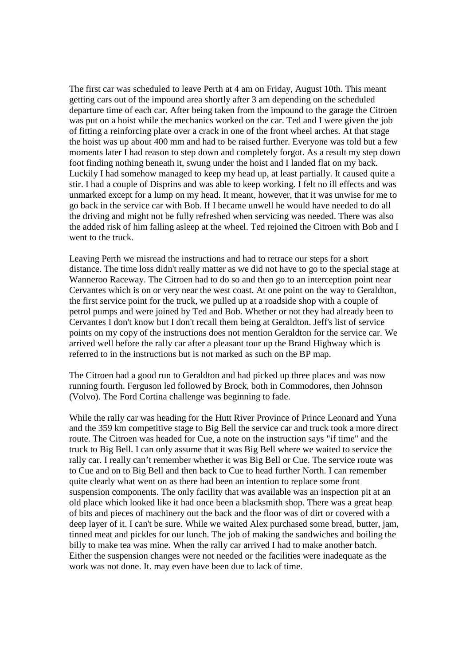The first car was scheduled to leave Perth at 4 am on Friday, August 10th. This meant getting cars out of the impound area shortly after 3 am depending on the scheduled departure time of each car. After being taken from the impound to the garage the Citroen was put on a hoist while the mechanics worked on the car. Ted and I were given the job of fitting a reinforcing plate over a crack in one of the front wheel arches. At that stage the hoist was up about 400 mm and had to be raised further. Everyone was told but a few moments later I had reason to step down and completely forgot. As a result my step down foot finding nothing beneath it, swung under the hoist and I landed flat on my back. Luckily I had somehow managed to keep my head up, at least partially. It caused quite a stir. I had a couple of Disprins and was able to keep working. I felt no ill effects and was unmarked except for a lump on my head. It meant, however, that it was unwise for me to go back in the service car with Bob. If I became unwell he would have needed to do all the driving and might not be fully refreshed when servicing was needed. There was also the added risk of him falling asleep at the wheel. Ted rejoined the Citroen with Bob and I went to the truck.

Leaving Perth we misread the instructions and had to retrace our steps for a short distance. The time loss didn't really matter as we did not have to go to the special stage at Wanneroo Raceway. The Citroen had to do so and then go to an interception point near Cervantes which is on or very near the west coast. At one point on the way to Geraldton, the first service point for the truck, we pulled up at a roadside shop with a couple of petrol pumps and were joined by Ted and Bob. Whether or not they had already been to Cervantes I don't know but I don't recall them being at Geraldton. Jeff's list of service points on my copy of the instructions does not mention Geraldton for the service car. We arrived well before the rally car after a pleasant tour up the Brand Highway which is referred to in the instructions but is not marked as such on the BP map.

The Citroen had a good run to Geraldton and had picked up three places and was now running fourth. Ferguson led followed by Brock, both in Commodores, then Johnson (Volvo). The Ford Cortina challenge was beginning to fade.

While the rally car was heading for the Hutt River Province of Prince Leonard and Yuna and the 359 km competitive stage to Big Bell the service car and truck took a more direct route. The Citroen was headed for Cue, a note on the instruction says "if time" and the truck to Big Bell. I can only assume that it was Big Bell where we waited to service the rally car. I really can't remember whether it was Big Bell or Cue. The service route was to Cue and on to Big Bell and then back to Cue to head further North. I can remember quite clearly what went on as there had been an intention to replace some front suspension components. The only facility that was available was an inspection pit at an old place which looked like it had once been a blacksmith shop. There was a great heap of bits and pieces of machinery out the back and the floor was of dirt or covered with a deep layer of it. I can't be sure. While we waited Alex purchased some bread, butter, jam, tinned meat and pickles for our lunch. The job of making the sandwiches and boiling the billy to make tea was mine. When the rally car arrived I had to make another batch. Either the suspension changes were not needed or the facilities were inadequate as the work was not done. It. may even have been due to lack of time.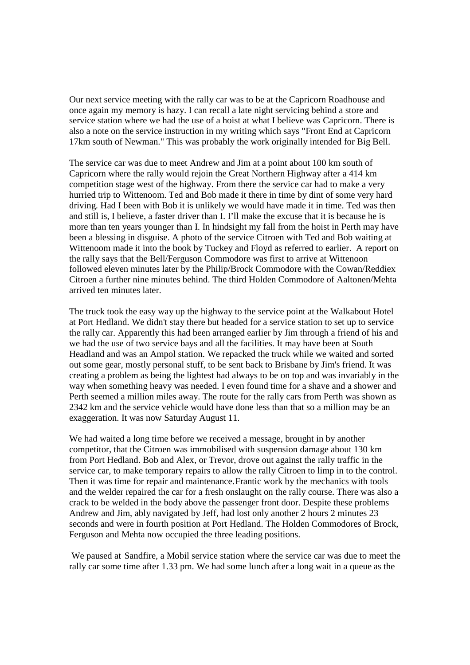Our next service meeting with the rally car was to be at the Capricorn Roadhouse and once again my memory is hazy. I can recall a late night servicing behind a store and service station where we had the use of a hoist at what I believe was Capricorn. There is also a note on the service instruction in my writing which says "Front End at Capricorn 17km south of Newman." This was probably the work originally intended for Big Bell.

The service car was due to meet Andrew and Jim at a point about 100 km south of Capricorn where the rally would rejoin the Great Northern Highway after a 414 km competition stage west of the highway. From there the service car had to make a very hurried trip to Wittenoom. Ted and Bob made it there in time by dint of some very hard driving. Had I been with Bob it is unlikely we would have made it in time. Ted was then and still is, I believe, a faster driver than I. I'll make the excuse that it is because he is more than ten years younger than I. In hindsight my fall from the hoist in Perth may have been a blessing in disguise. A photo of the service Citroen with Ted and Bob waiting at Wittenoom made it into the book by Tuckey and Floyd as referred to earlier. A report on the rally says that the Bell/Ferguson Commodore was first to arrive at Wittenoon followed eleven minutes later by the Philip/Brock Commodore with the Cowan/Reddiex Citroen a further nine minutes behind. The third Holden Commodore of Aaltonen/Mehta arrived ten minutes later.

The truck took the easy way up the highway to the service point at the Walkabout Hotel at Port Hedland. We didn't stay there but headed for a service station to set up to service the rally car. Apparently this had been arranged earlier by Jim through a friend of his and we had the use of two service bays and all the facilities. It may have been at South Headland and was an Ampol station. We repacked the truck while we waited and sorted out some gear, mostly personal stuff, to be sent back to Brisbane by Jim's friend. It was creating a problem as being the lightest had always to be on top and was invariably in the way when something heavy was needed. I even found time for a shave and a shower and Perth seemed a million miles away. The route for the rally cars from Perth was shown as 2342 km and the service vehicle would have done less than that so a million may be an exaggeration. It was now Saturday August 11.

We had waited a long time before we received a message, brought in by another competitor, that the Citroen was immobilised with suspension damage about 130 km from Port Hedland. Bob and Alex, or Trevor, drove out against the rally traffic in the service car, to make temporary repairs to allow the rally Citroen to limp in to the control. Then it was time for repair and maintenance.Frantic work by the mechanics with tools and the welder repaired the car for a fresh onslaught on the rally course. There was also a crack to be welded in the body above the passenger front door. Despite these problems Andrew and Jim, ably navigated by Jeff, had lost only another 2 hours 2 minutes 23 seconds and were in fourth position at Port Hedland. The Holden Commodores of Brock, Ferguson and Mehta now occupied the three leading positions.

We paused at Sandfire, a Mobil service station where the service car was due to meet the rally car some time after 1.33 pm. We had some lunch after a long wait in a queue as the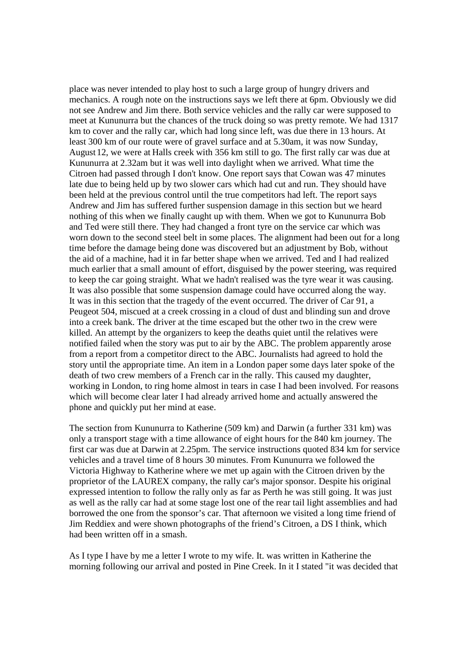place was never intended to play host to such a large group of hungry drivers and mechanics. A rough note on the instructions says we left there at 6pm. Obviously we did not see Andrew and Jim there. Both service vehicles and the rally car were supposed to meet at Kununurra but the chances of the truck doing so was pretty remote. We had 1317 km to cover and the rally car, which had long since left, was due there in 13 hours. At least 300 km of our route were of gravel surface and at 5.30am, it was now Sunday, August12, we were at Halls creek with 356 km still to go. The first rally car was due at Kununurra at 2.32am but it was well into daylight when we arrived. What time the Citroen had passed through I don't know. One report says that Cowan was 47 minutes late due to being held up by two slower cars which had cut and run. They should have been held at the previous control until the true competitors had left. The report says Andrew and Jim has suffered further suspension damage in this section but we heard nothing of this when we finally caught up with them. When we got to Kununurra Bob and Ted were still there. They had changed a front tyre on the service car which was worn down to the second steel belt in some places. The alignment had been out for a long time before the damage being done was discovered but an adjustment by Bob, without the aid of a machine, had it in far better shape when we arrived. Ted and I had realized much earlier that a small amount of effort, disguised by the power steering, was required to keep the car going straight. What we hadn't realised was the tyre wear it was causing. It was also possible that some suspension damage could have occurred along the way. It was in this section that the tragedy of the event occurred. The driver of Car 91, a Peugeot 504, miscued at a creek crossing in a cloud of dust and blinding sun and drove into a creek bank. The driver at the time escaped but the other two in the crew were killed. An attempt by the organizers to keep the deaths quiet until the relatives were notified failed when the story was put to air by the ABC. The problem apparently arose from a report from a competitor direct to the ABC. Journalists had agreed to hold the story until the appropriate time. An item in a London paper some days later spoke of the death of two crew members of a French car in the rally. This caused my daughter, working in London, to ring home almost in tears in case I had been involved. For reasons which will become clear later I had already arrived home and actually answered the phone and quickly put her mind at ease.

The section from Kununurra to Katherine (509 km) and Darwin (a further 331 km) was only a transport stage with a time allowance of eight hours for the 840 km journey. The first car was due at Darwin at 2.25pm. The service instructions quoted 834 km for service vehicles and a travel time of 8 hours 30 minutes. From Kununurra we followed the Victoria Highway to Katherine where we met up again with the Citroen driven by the proprietor of the LAUREX company, the rally car's major sponsor. Despite his original expressed intention to follow the rally only as far as Perth he was still going. It was just as well as the rally car had at some stage lost one of the rear tail light assemblies and had borrowed the one from the sponsor's car. That afternoon we visited a long time friend of Jim Reddiex and were shown photographs of the friend's Citroen, a DS I think, which had been written off in a smash.

As I type I have by me a letter I wrote to my wife. It. was written in Katherine the morning following our arrival and posted in Pine Creek. In it I stated "it was decided that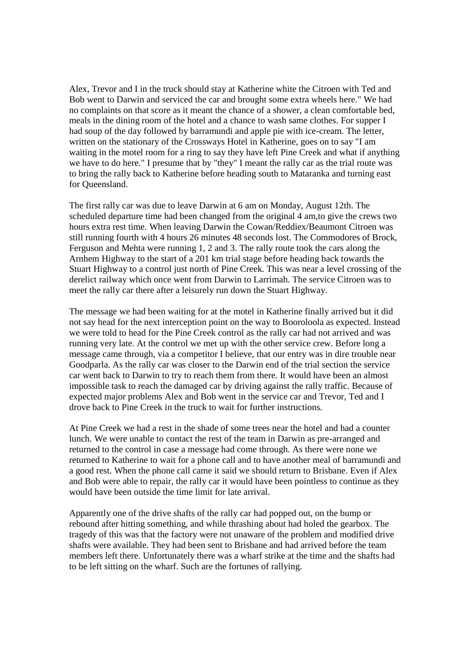Alex, Trevor and I in the truck should stay at Katherine white the Citroen with Ted and Bob went to Darwin and serviced the car and brought some extra wheels here." We had no complaints on that score as it meant the chance of a shower, a clean comfortable bed, meals in the dining room of the hotel and a chance to wash same clothes. For supper I had soup of the day followed by barramundi and apple pie with ice-cream. The letter, written on the stationary of the Crossways Hotel in Katherine, goes on to say "I am waiting in the motel room for a ring to say they have left Pine Creek and what if anything we have to do here." I presume that by "they" I meant the rally car as the trial route was to bring the rally back to Katherine before heading south to Mataranka and turning east for Queensland.

The first rally car was due to leave Darwin at 6 am on Monday, August 12th. The scheduled departure time had been changed from the original 4 am,to give the crews two hours extra rest time. When leaving Darwin the Cowan/Reddiex/Beaumont Citroen was still running fourth with 4 hours 26 minutes 48 seconds lost. The Commodores of Brock, Ferguson and Mehta were running 1, 2 and 3. The rally route took the cars along the Arnhem Highway to the start of a 201 km trial stage before heading back towards the Stuart Highway to a control just north of Pine Creek. This was near a level crossing of the derelict railway which once went from Darwin to Larrimah. The service Citroen was to meet the rally car there after a leisurely run down the Stuart Highway.

The message we had been waiting for at the motel in Katherine finally arrived but it did not say head for the next interception point on the way to Booroloola as expected. Instead we were told to head for the Pine Creek control as the rally car had not arrived and was running very late. At the control we met up with the other service crew. Before long a message came through, via a competitor I believe, that our entry was in dire trouble near Goodparla. As the rally car was closer to the Darwin end of the trial section the service car went back to Darwin to try to reach them from there. It would have been an almost impossible task to reach the damaged car by driving against the rally traffic. Because of expected major problems Alex and Bob went in the service car and Trevor, Ted and I drove back to Pine Creek in the truck to wait for further instructions.

At Pine Creek we had a rest in the shade of some trees near the hotel and had a counter lunch. We were unable to contact the rest of the team in Darwin as pre-arranged and returned to the control in case a message had come through. As there were none we returned to Katherine to wait for a phone call and to have another meal of barramundi and a good rest. When the phone call came it said we should return to Brisbane. Even if Alex and Bob were able to repair, the rally car it would have been pointless to continue as they would have been outside the time limit for late arrival.

Apparently one of the drive shafts of the rally car had popped out, on the bump or rebound after hitting something, and while thrashing about had holed the gearbox. The tragedy of this was that the factory were not unaware of the problem and modified drive shafts were available. They had been sent to Brisbane and had arrived before the team members left there. Unfortunately there was a wharf strike at the time and the shafts had to be left sitting on the wharf. Such are the fortunes of rallying.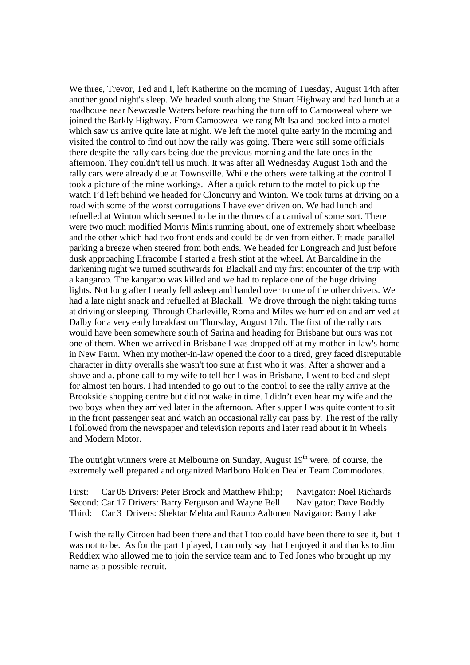We three, Trevor, Ted and I, left Katherine on the morning of Tuesday, August 14th after another good night's sleep. We headed south along the Stuart Highway and had lunch at a roadhouse near Newcastle Waters before reaching the turn off to Camooweal where we joined the Barkly Highway. From Camooweal we rang Mt Isa and booked into a motel which saw us arrive quite late at night. We left the motel quite early in the morning and visited the control to find out how the rally was going. There were still some officials there despite the rally cars being due the previous morning and the late ones in the afternoon. They couldn't tell us much. It was after all Wednesday August 15th and the rally cars were already due at Townsville. While the others were talking at the control I took a picture of the mine workings. After a quick return to the motel to pick up the watch I'd left behind we headed for Cloncurry and Winton. We took turns at driving on a road with some of the worst corrugations I have ever driven on. We had lunch and refuelled at Winton which seemed to be in the throes of a carnival of some sort. There were two much modified Morris Minis running about, one of extremely short wheelbase and the other which had two front ends and could be driven from either. It made parallel parking a breeze when steered from both ends. We headed for Longreach and just before dusk approaching Ilfracombe I started a fresh stint at the wheel. At Barcaldine in the darkening night we turned southwards for Blackall and my first encounter of the trip with a kangaroo. The kangaroo was killed and we had to replace one of the huge driving lights. Not long after I nearly fell asleep and handed over to one of the other drivers. We had a late night snack and refuelled at Blackall. We drove through the night taking turns at driving or sleeping. Through Charleville, Roma and Miles we hurried on and arrived at Dalby for a very early breakfast on Thursday, August 17th. The first of the rally cars would have been somewhere south of Sarina and heading for Brisbane but ours was not one of them. When we arrived in Brisbane I was dropped off at my mother-in-law's home in New Farm. When my mother-in-law opened the door to a tired, grey faced disreputable character in dirty overalls she wasn't too sure at first who it was. After a shower and a shave and a. phone call to my wife to tell her I was in Brisbane, I went to bed and slept for almost ten hours. I had intended to go out to the control to see the rally arrive at the Brookside shopping centre but did not wake in time. I didn't even hear my wife and the two boys when they arrived later in the afternoon. After supper I was quite content to sit in the front passenger seat and watch an occasional rally car pass by. The rest of the rally I followed from the newspaper and television reports and later read about it in Wheels and Modern Motor.

The outright winners were at Melbourne on Sunday, August  $19<sup>th</sup>$  were, of course, the extremely well prepared and organized Marlboro Holden Dealer Team Commodores.

First: Car 05 Drivers: Peter Brock and Matthew Philip; Navigator: Noel Richards Second: Car 17 Drivers: Barry Ferguson and Wayne Bell Navigator: Dave Boddy Third: Car 3 Drivers: Shektar Mehta and Rauno Aaltonen Navigator: Barry Lake

I wish the rally Citroen had been there and that I too could have been there to see it, but it was not to be. As for the part I played, I can only say that I enjoyed it and thanks to Jim Reddiex who allowed me to join the service team and to Ted Jones who brought up my name as a possible recruit.